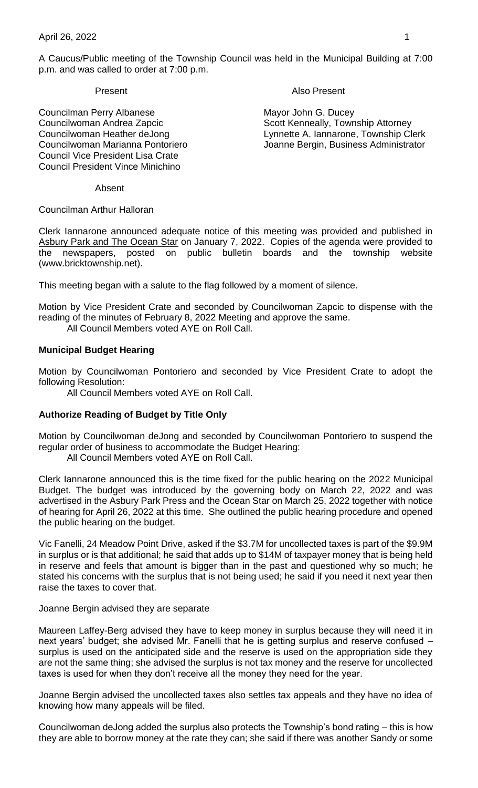A Caucus/Public meeting of the Township Council was held in the Municipal Building at 7:00 p.m. and was called to order at 7:00 p.m.

Councilman Perry Albanese Mayor John G. Ducey Councilwoman Andrea Zapcic Scott Kenneally, Township Attorney Council Vice President Lisa Crate Council President Vince Minichino

Present **Also Present** 

Councilwoman Heather deJong Lynnette A. Iannarone, Township Clerk Councilwoman Marianna Pontoriero Joanne Bergin, Business Administrator

Absent

Councilman Arthur Halloran

Clerk Iannarone announced adequate notice of this meeting was provided and published in Asbury Park and The Ocean Star on January 7, 2022. Copies of the agenda were provided to the newspapers, posted on public bulletin boards and the township website (www.bricktownship.net).

This meeting began with a salute to the flag followed by a moment of silence.

Motion by Vice President Crate and seconded by Councilwoman Zapcic to dispense with the reading of the minutes of February 8, 2022 Meeting and approve the same.

All Council Members voted AYE on Roll Call.

## **Municipal Budget Hearing**

Motion by Councilwoman Pontoriero and seconded by Vice President Crate to adopt the following Resolution:

All Council Members voted AYE on Roll Call.

## **Authorize Reading of Budget by Title Only**

Motion by Councilwoman deJong and seconded by Councilwoman Pontoriero to suspend the regular order of business to accommodate the Budget Hearing:

All Council Members voted AYE on Roll Call.

Clerk Iannarone announced this is the time fixed for the public hearing on the 2022 Municipal Budget. The budget was introduced by the governing body on March 22, 2022 and was advertised in the Asbury Park Press and the Ocean Star on March 25, 2022 together with notice of hearing for April 26, 2022 at this time. She outlined the public hearing procedure and opened the public hearing on the budget.

Vic Fanelli, 24 Meadow Point Drive, asked if the \$3.7M for uncollected taxes is part of the \$9.9M in surplus or is that additional; he said that adds up to \$14M of taxpayer money that is being held in reserve and feels that amount is bigger than in the past and questioned why so much; he stated his concerns with the surplus that is not being used; he said if you need it next year then raise the taxes to cover that.

#### Joanne Bergin advised they are separate

Maureen Laffey-Berg advised they have to keep money in surplus because they will need it in next years' budget; she advised Mr. Fanelli that he is getting surplus and reserve confused – surplus is used on the anticipated side and the reserve is used on the appropriation side they are not the same thing; she advised the surplus is not tax money and the reserve for uncollected taxes is used for when they don't receive all the money they need for the year.

Joanne Bergin advised the uncollected taxes also settles tax appeals and they have no idea of knowing how many appeals will be filed.

Councilwoman deJong added the surplus also protects the Township's bond rating – this is how they are able to borrow money at the rate they can; she said if there was another Sandy or some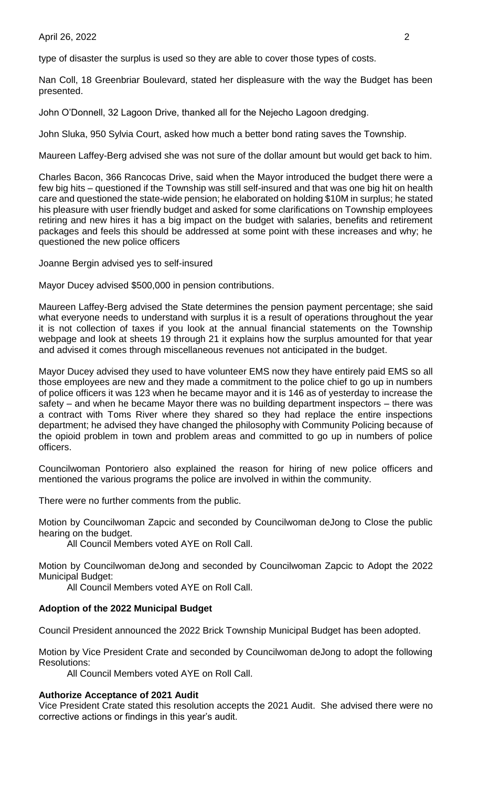#### April 26, 2022 2

type of disaster the surplus is used so they are able to cover those types of costs.

Nan Coll, 18 Greenbriar Boulevard, stated her displeasure with the way the Budget has been presented.

John O'Donnell, 32 Lagoon Drive, thanked all for the Nejecho Lagoon dredging.

John Sluka, 950 Sylvia Court, asked how much a better bond rating saves the Township.

Maureen Laffey-Berg advised she was not sure of the dollar amount but would get back to him.

Charles Bacon, 366 Rancocas Drive, said when the Mayor introduced the budget there were a few big hits – questioned if the Township was still self-insured and that was one big hit on health care and questioned the state-wide pension; he elaborated on holding \$10M in surplus; he stated his pleasure with user friendly budget and asked for some clarifications on Township employees retiring and new hires it has a big impact on the budget with salaries, benefits and retirement packages and feels this should be addressed at some point with these increases and why; he questioned the new police officers

Joanne Bergin advised yes to self-insured

Mayor Ducey advised \$500,000 in pension contributions.

Maureen Laffey-Berg advised the State determines the pension payment percentage; she said what everyone needs to understand with surplus it is a result of operations throughout the year it is not collection of taxes if you look at the annual financial statements on the Township webpage and look at sheets 19 through 21 it explains how the surplus amounted for that year and advised it comes through miscellaneous revenues not anticipated in the budget.

Mayor Ducey advised they used to have volunteer EMS now they have entirely paid EMS so all those employees are new and they made a commitment to the police chief to go up in numbers of police officers it was 123 when he became mayor and it is 146 as of yesterday to increase the safety – and when he became Mayor there was no building department inspectors – there was a contract with Toms River where they shared so they had replace the entire inspections department; he advised they have changed the philosophy with Community Policing because of the opioid problem in town and problem areas and committed to go up in numbers of police officers.

Councilwoman Pontoriero also explained the reason for hiring of new police officers and mentioned the various programs the police are involved in within the community.

There were no further comments from the public.

Motion by Councilwoman Zapcic and seconded by Councilwoman deJong to Close the public hearing on the budget.

All Council Members voted AYE on Roll Call.

Motion by Councilwoman deJong and seconded by Councilwoman Zapcic to Adopt the 2022 Municipal Budget:

All Council Members voted AYE on Roll Call.

## **Adoption of the 2022 Municipal Budget**

Council President announced the 2022 Brick Township Municipal Budget has been adopted.

Motion by Vice President Crate and seconded by Councilwoman deJong to adopt the following Resolutions:

All Council Members voted AYE on Roll Call.

#### **Authorize Acceptance of 2021 Audit**

Vice President Crate stated this resolution accepts the 2021 Audit. She advised there were no corrective actions or findings in this year's audit.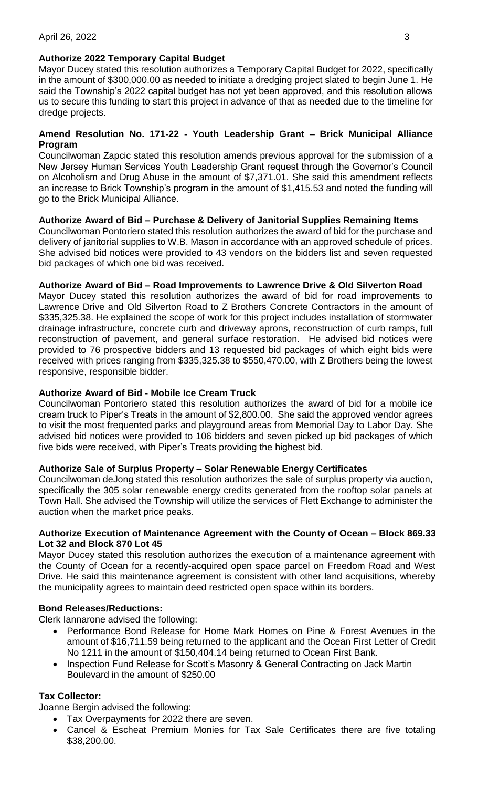# **Authorize 2022 Temporary Capital Budget**

Mayor Ducey stated this resolution authorizes a Temporary Capital Budget for 2022, specifically in the amount of \$300,000.00 as needed to initiate a dredging project slated to begin June 1. He said the Township's 2022 capital budget has not yet been approved, and this resolution allows us to secure this funding to start this project in advance of that as needed due to the timeline for dredge projects.

# **Amend Resolution No. 171-22 - Youth Leadership Grant – Brick Municipal Alliance Program**

Councilwoman Zapcic stated this resolution amends previous approval for the submission of a New Jersey Human Services Youth Leadership Grant request through the Governor's Council on Alcoholism and Drug Abuse in the amount of \$7,371.01. She said this amendment reflects an increase to Brick Township's program in the amount of \$1,415.53 and noted the funding will go to the Brick Municipal Alliance.

# **Authorize Award of Bid – Purchase & Delivery of Janitorial Supplies Remaining Items**

Councilwoman Pontoriero stated this resolution authorizes the award of bid for the purchase and delivery of janitorial supplies to W.B. Mason in accordance with an approved schedule of prices. She advised bid notices were provided to 43 vendors on the bidders list and seven requested bid packages of which one bid was received.

# **Authorize Award of Bid – Road Improvements to Lawrence Drive & Old Silverton Road**

Mayor Ducey stated this resolution authorizes the award of bid for road improvements to Lawrence Drive and Old Silverton Road to Z Brothers Concrete Contractors in the amount of \$335,325.38. He explained the scope of work for this project includes installation of stormwater drainage infrastructure, concrete curb and driveway aprons, reconstruction of curb ramps, full reconstruction of pavement, and general surface restoration. He advised bid notices were provided to 76 prospective bidders and 13 requested bid packages of which eight bids were received with prices ranging from \$335,325.38 to \$550,470.00, with Z Brothers being the lowest responsive, responsible bidder.

# **Authorize Award of Bid - Mobile Ice Cream Truck**

Councilwoman Pontoriero stated this resolution authorizes the award of bid for a mobile ice cream truck to Piper's Treats in the amount of \$2,800.00. She said the approved vendor agrees to visit the most frequented parks and playground areas from Memorial Day to Labor Day. She advised bid notices were provided to 106 bidders and seven picked up bid packages of which five bids were received, with Piper's Treats providing the highest bid.

# **Authorize Sale of Surplus Property – Solar Renewable Energy Certificates**

Councilwoman deJong stated this resolution authorizes the sale of surplus property via auction, specifically the 305 solar renewable energy credits generated from the rooftop solar panels at Town Hall. She advised the Township will utilize the services of Flett Exchange to administer the auction when the market price peaks.

## **Authorize Execution of Maintenance Agreement with the County of Ocean – Block 869.33 Lot 32 and Block 870 Lot 45**

Mayor Ducey stated this resolution authorizes the execution of a maintenance agreement with the County of Ocean for a recently-acquired open space parcel on Freedom Road and West Drive. He said this maintenance agreement is consistent with other land acquisitions, whereby the municipality agrees to maintain deed restricted open space within its borders.

# **Bond Releases/Reductions:**

Clerk Iannarone advised the following:

- Performance Bond Release for Home Mark Homes on Pine & Forest Avenues in the amount of \$16,711.59 being returned to the applicant and the Ocean First Letter of Credit No 1211 in the amount of \$150,404.14 being returned to Ocean First Bank.
- Inspection Fund Release for Scott's Masonry & General Contracting on Jack Martin Boulevard in the amount of \$250.00

# **Tax Collector:**

Joanne Bergin advised the following:

- Tax Overpayments for 2022 there are seven.
- Cancel & Escheat Premium Monies for Tax Sale Certificates there are five totaling \$38,200.00.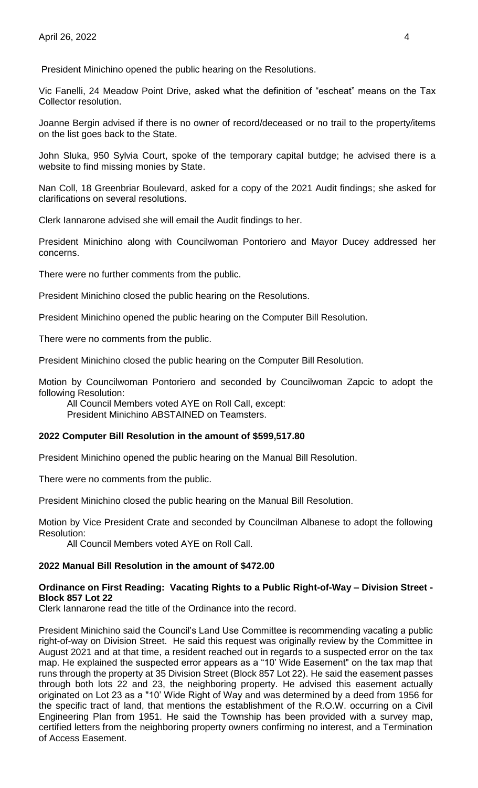President Minichino opened the public hearing on the Resolutions.

Vic Fanelli, 24 Meadow Point Drive, asked what the definition of "escheat" means on the Tax Collector resolution.

Joanne Bergin advised if there is no owner of record/deceased or no trail to the property/items on the list goes back to the State.

John Sluka, 950 Sylvia Court, spoke of the temporary capital butdge; he advised there is a website to find missing monies by State.

Nan Coll, 18 Greenbriar Boulevard, asked for a copy of the 2021 Audit findings; she asked for clarifications on several resolutions.

Clerk Iannarone advised she will email the Audit findings to her.

President Minichino along with Councilwoman Pontoriero and Mayor Ducey addressed her concerns.

There were no further comments from the public.

President Minichino closed the public hearing on the Resolutions.

President Minichino opened the public hearing on the Computer Bill Resolution.

There were no comments from the public.

President Minichino closed the public hearing on the Computer Bill Resolution.

Motion by Councilwoman Pontoriero and seconded by Councilwoman Zapcic to adopt the following Resolution:

All Council Members voted AYE on Roll Call, except: President Minichino ABSTAINED on Teamsters.

## **2022 Computer Bill Resolution in the amount of \$599,517.80**

President Minichino opened the public hearing on the Manual Bill Resolution.

There were no comments from the public.

President Minichino closed the public hearing on the Manual Bill Resolution.

Motion by Vice President Crate and seconded by Councilman Albanese to adopt the following Resolution:

All Council Members voted AYE on Roll Call.

## **2022 Manual Bill Resolution in the amount of \$472.00**

### **Ordinance on First Reading: Vacating Rights to a Public Right-of-Way – Division Street - Block 857 Lot 22**

Clerk Iannarone read the title of the Ordinance into the record.

President Minichino said the Council's Land Use Committee is recommending vacating a public right-of-way on Division Street. He said this request was originally review by the Committee in August 2021 and at that time, a resident reached out in regards to a suspected error on the tax map. He explained the suspected error appears as a "10' Wide Easement" on the tax map that runs through the property at 35 Division Street (Block 857 Lot 22). He said the easement passes through both lots 22 and 23, the neighboring property. He advised this easement actually originated on Lot 23 as a "10' Wide Right of Way and was determined by a deed from 1956 for the specific tract of land, that mentions the establishment of the R.O.W. occurring on a Civil Engineering Plan from 1951. He said the Township has been provided with a survey map, certified letters from the neighboring property owners confirming no interest, and a Termination of Access Easement.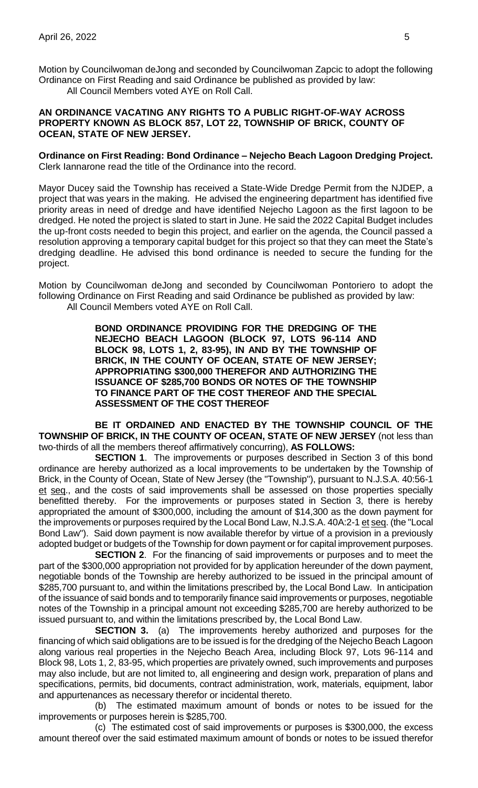Motion by Councilwoman deJong and seconded by Councilwoman Zapcic to adopt the following Ordinance on First Reading and said Ordinance be published as provided by law:

All Council Members voted AYE on Roll Call.

### **AN ORDINANCE VACATING ANY RIGHTS TO A PUBLIC RIGHT-OF-WAY ACROSS PROPERTY KNOWN AS BLOCK 857, LOT 22, TOWNSHIP OF BRICK, COUNTY OF OCEAN, STATE OF NEW JERSEY.**

**Ordinance on First Reading: Bond Ordinance – Nejecho Beach Lagoon Dredging Project.** Clerk Iannarone read the title of the Ordinance into the record.

Mayor Ducey said the Township has received a State-Wide Dredge Permit from the NJDEP, a project that was years in the making. He advised the engineering department has identified five priority areas in need of dredge and have identified Nejecho Lagoon as the first lagoon to be dredged. He noted the project is slated to start in June. He said the 2022 Capital Budget includes the up-front costs needed to begin this project, and earlier on the agenda, the Council passed a resolution approving a temporary capital budget for this project so that they can meet the State's dredging deadline. He advised this bond ordinance is needed to secure the funding for the project.

Motion by Councilwoman deJong and seconded by Councilwoman Pontoriero to adopt the following Ordinance on First Reading and said Ordinance be published as provided by law: All Council Members voted AYE on Roll Call.

> **BOND ORDINANCE PROVIDING FOR THE DREDGING OF THE NEJECHO BEACH LAGOON (BLOCK 97, LOTS 96-114 AND BLOCK 98, LOTS 1, 2, 83-95), IN AND BY THE TOWNSHIP OF BRICK, IN THE COUNTY OF OCEAN, STATE OF NEW JERSEY; APPROPRIATING \$300,000 THEREFOR AND AUTHORIZING THE ISSUANCE OF \$285,700 BONDS OR NOTES OF THE TOWNSHIP TO FINANCE PART OF THE COST THEREOF AND THE SPECIAL ASSESSMENT OF THE COST THEREOF**

**BE IT ORDAINED AND ENACTED BY THE TOWNSHIP COUNCIL OF THE TOWNSHIP OF BRICK, IN THE COUNTY OF OCEAN, STATE OF NEW JERSEY** (not less than two-thirds of all the members thereof affirmatively concurring), **AS FOLLOWS:**

**SECTION 1**. The improvements or purposes described in Section 3 of this bond ordinance are hereby authorized as a local improvements to be undertaken by the Township of Brick, in the County of Ocean, State of New Jersey (the "Township"), pursuant to N.J.S.A. 40:56-1 et seq., and the costs of said improvements shall be assessed on those properties specially benefitted thereby. For the improvements or purposes stated in Section 3, there is hereby appropriated the amount of \$300,000, including the amount of \$14,300 as the down payment for the improvements or purposes required by the Local Bond Law, N.J.S.A. 40A:2-1 et seq. (the "Local Bond Law"). Said down payment is now available therefor by virtue of a provision in a previously adopted budget or budgets of the Township for down payment or for capital improvement purposes.

**SECTION 2.** For the financing of said improvements or purposes and to meet the part of the \$300,000 appropriation not provided for by application hereunder of the down payment, negotiable bonds of the Township are hereby authorized to be issued in the principal amount of \$285,700 pursuant to, and within the limitations prescribed by, the Local Bond Law. In anticipation of the issuance of said bonds and to temporarily finance said improvements or purposes, negotiable notes of the Township in a principal amount not exceeding \$285,700 are hereby authorized to be issued pursuant to, and within the limitations prescribed by, the Local Bond Law.

**SECTION 3.** (a) The improvements hereby authorized and purposes for the financing of which said obligations are to be issued is for the dredging of the Nejecho Beach Lagoon along various real properties in the Nejecho Beach Area, including Block 97, Lots 96-114 and Block 98, Lots 1, 2, 83-95, which properties are privately owned, such improvements and purposes may also include, but are not limited to, all engineering and design work, preparation of plans and specifications, permits, bid documents, contract administration, work, materials, equipment, labor and appurtenances as necessary therefor or incidental thereto.

(b) The estimated maximum amount of bonds or notes to be issued for the improvements or purposes herein is \$285,700.

(c) The estimated cost of said improvements or purposes is \$300,000, the excess amount thereof over the said estimated maximum amount of bonds or notes to be issued therefor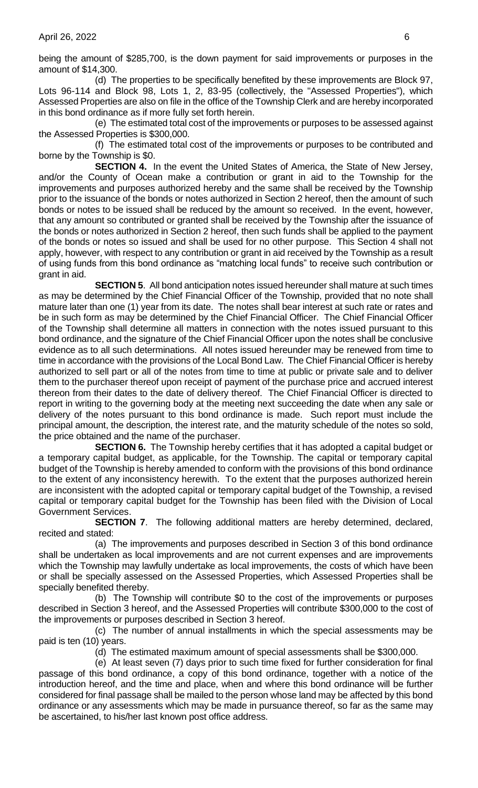being the amount of \$285,700, is the down payment for said improvements or purposes in the amount of \$14,300.

(d) The properties to be specifically benefited by these improvements are Block 97, Lots 96-114 and Block 98, Lots 1, 2, 83-95 (collectively, the "Assessed Properties"), which Assessed Properties are also on file in the office of the Township Clerk and are hereby incorporated in this bond ordinance as if more fully set forth herein.

(e) The estimated total cost of the improvements or purposes to be assessed against the Assessed Properties is \$300,000.

(f) The estimated total cost of the improvements or purposes to be contributed and borne by the Township is \$0.

**SECTION 4.** In the event the United States of America, the State of New Jersey, and/or the County of Ocean make a contribution or grant in aid to the Township for the improvements and purposes authorized hereby and the same shall be received by the Township prior to the issuance of the bonds or notes authorized in Section 2 hereof, then the amount of such bonds or notes to be issued shall be reduced by the amount so received. In the event, however, that any amount so contributed or granted shall be received by the Township after the issuance of the bonds or notes authorized in Section 2 hereof, then such funds shall be applied to the payment of the bonds or notes so issued and shall be used for no other purpose. This Section 4 shall not apply, however, with respect to any contribution or grant in aid received by the Township as a result of using funds from this bond ordinance as "matching local funds" to receive such contribution or grant in aid.

**SECTION 5**. All bond anticipation notes issued hereunder shall mature at such times as may be determined by the Chief Financial Officer of the Township, provided that no note shall mature later than one (1) year from its date. The notes shall bear interest at such rate or rates and be in such form as may be determined by the Chief Financial Officer. The Chief Financial Officer of the Township shall determine all matters in connection with the notes issued pursuant to this bond ordinance, and the signature of the Chief Financial Officer upon the notes shall be conclusive evidence as to all such determinations. All notes issued hereunder may be renewed from time to time in accordance with the provisions of the Local Bond Law. The Chief Financial Officer is hereby authorized to sell part or all of the notes from time to time at public or private sale and to deliver them to the purchaser thereof upon receipt of payment of the purchase price and accrued interest thereon from their dates to the date of delivery thereof. The Chief Financial Officer is directed to report in writing to the governing body at the meeting next succeeding the date when any sale or delivery of the notes pursuant to this bond ordinance is made. Such report must include the principal amount, the description, the interest rate, and the maturity schedule of the notes so sold, the price obtained and the name of the purchaser.

**SECTION 6.** The Township hereby certifies that it has adopted a capital budget or a temporary capital budget, as applicable, for the Township. The capital or temporary capital budget of the Township is hereby amended to conform with the provisions of this bond ordinance to the extent of any inconsistency herewith. To the extent that the purposes authorized herein are inconsistent with the adopted capital or temporary capital budget of the Township, a revised capital or temporary capital budget for the Township has been filed with the Division of Local Government Services.

**SECTION 7.** The following additional matters are hereby determined, declared, recited and stated:

(a) The improvements and purposes described in Section 3 of this bond ordinance shall be undertaken as local improvements and are not current expenses and are improvements which the Township may lawfully undertake as local improvements, the costs of which have been or shall be specially assessed on the Assessed Properties, which Assessed Properties shall be specially benefited thereby.

(b) The Township will contribute \$0 to the cost of the improvements or purposes described in Section 3 hereof, and the Assessed Properties will contribute \$300,000 to the cost of the improvements or purposes described in Section 3 hereof.

(c) The number of annual installments in which the special assessments may be paid is ten (10) years.

(d) The estimated maximum amount of special assessments shall be \$300,000.

(e) At least seven (7) days prior to such time fixed for further consideration for final passage of this bond ordinance, a copy of this bond ordinance, together with a notice of the introduction hereof, and the time and place, when and where this bond ordinance will be further considered for final passage shall be mailed to the person whose land may be affected by this bond ordinance or any assessments which may be made in pursuance thereof, so far as the same may be ascertained, to his/her last known post office address.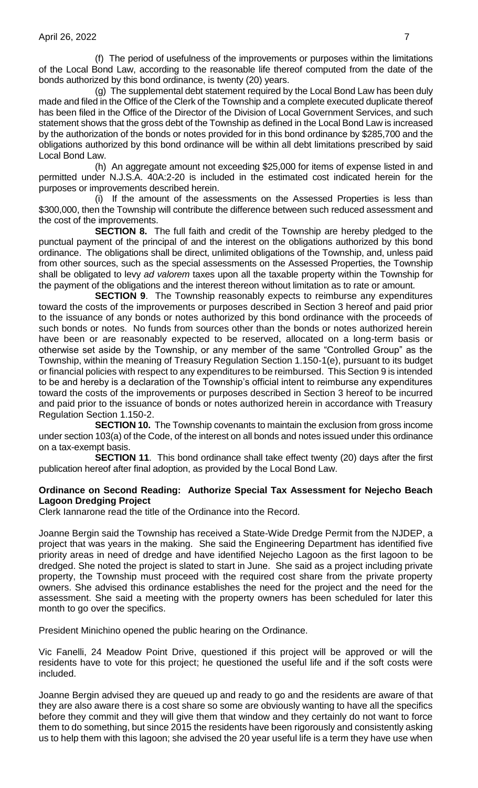(f) The period of usefulness of the improvements or purposes within the limitations of the Local Bond Law, according to the reasonable life thereof computed from the date of the bonds authorized by this bond ordinance, is twenty (20) years.

(g) The supplemental debt statement required by the Local Bond Law has been duly made and filed in the Office of the Clerk of the Township and a complete executed duplicate thereof has been filed in the Office of the Director of the Division of Local Government Services, and such statement shows that the gross debt of the Township as defined in the Local Bond Law is increased by the authorization of the bonds or notes provided for in this bond ordinance by \$285,700 and the obligations authorized by this bond ordinance will be within all debt limitations prescribed by said Local Bond Law.

(h) An aggregate amount not exceeding \$25,000 for items of expense listed in and permitted under N.J.S.A. 40A:2-20 is included in the estimated cost indicated herein for the purposes or improvements described herein.

(i) If the amount of the assessments on the Assessed Properties is less than \$300,000, then the Township will contribute the difference between such reduced assessment and the cost of the improvements.

**SECTION 8.** The full faith and credit of the Township are hereby pledged to the punctual payment of the principal of and the interest on the obligations authorized by this bond ordinance. The obligations shall be direct, unlimited obligations of the Township, and, unless paid from other sources, such as the special assessments on the Assessed Properties, the Township shall be obligated to levy *ad valorem* taxes upon all the taxable property within the Township for the payment of the obligations and the interest thereon without limitation as to rate or amount.

**SECTION 9.** The Township reasonably expects to reimburse any expenditures toward the costs of the improvements or purposes described in Section 3 hereof and paid prior to the issuance of any bonds or notes authorized by this bond ordinance with the proceeds of such bonds or notes. No funds from sources other than the bonds or notes authorized herein have been or are reasonably expected to be reserved, allocated on a long-term basis or otherwise set aside by the Township, or any member of the same "Controlled Group" as the Township, within the meaning of Treasury Regulation Section 1.150-1(e), pursuant to its budget or financial policies with respect to any expenditures to be reimbursed. This Section 9 is intended to be and hereby is a declaration of the Township's official intent to reimburse any expenditures toward the costs of the improvements or purposes described in Section 3 hereof to be incurred and paid prior to the issuance of bonds or notes authorized herein in accordance with Treasury Regulation Section 1.150-2.

**SECTION 10.** The Township covenants to maintain the exclusion from gross income under section 103(a) of the Code, of the interest on all bonds and notes issued under this ordinance on a tax-exempt basis.

**SECTION 11**. This bond ordinance shall take effect twenty (20) days after the first publication hereof after final adoption, as provided by the Local Bond Law.

### **Ordinance on Second Reading: Authorize Special Tax Assessment for Nejecho Beach Lagoon Dredging Project**

Clerk Iannarone read the title of the Ordinance into the Record.

Joanne Bergin said the Township has received a State-Wide Dredge Permit from the NJDEP, a project that was years in the making. She said the Engineering Department has identified five priority areas in need of dredge and have identified Nejecho Lagoon as the first lagoon to be dredged. She noted the project is slated to start in June. She said as a project including private property, the Township must proceed with the required cost share from the private property owners. She advised this ordinance establishes the need for the project and the need for the assessment. She said a meeting with the property owners has been scheduled for later this month to go over the specifics.

President Minichino opened the public hearing on the Ordinance.

Vic Fanelli, 24 Meadow Point Drive, questioned if this project will be approved or will the residents have to vote for this project; he questioned the useful life and if the soft costs were included.

Joanne Bergin advised they are queued up and ready to go and the residents are aware of that they are also aware there is a cost share so some are obviously wanting to have all the specifics before they commit and they will give them that window and they certainly do not want to force them to do something, but since 2015 the residents have been rigorously and consistently asking us to help them with this lagoon; she advised the 20 year useful life is a term they have use when